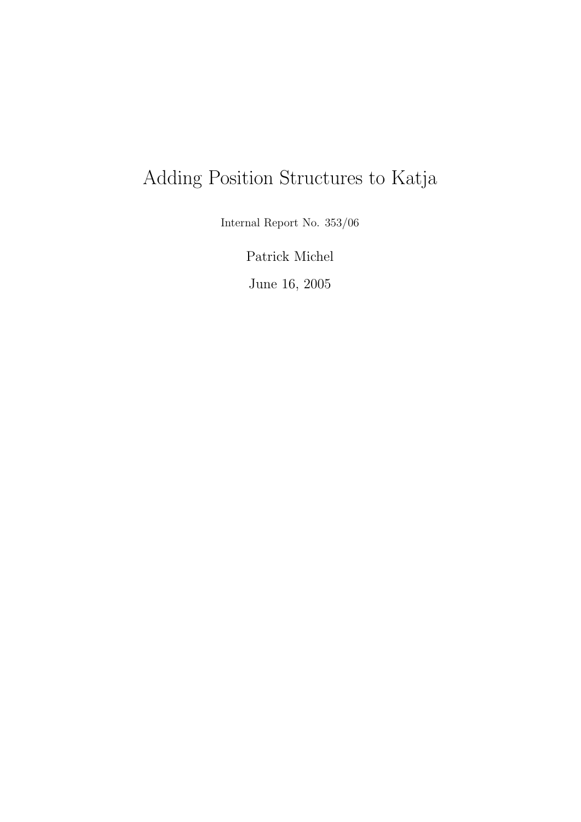# Adding Position Structures to Katja

Internal Report No. 353/06

Patrick Michel

June 16, 2005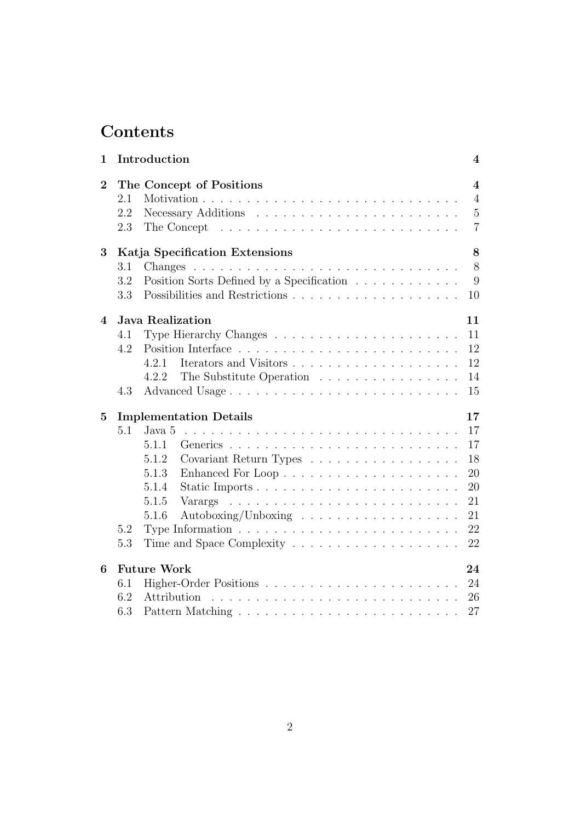# Contents

| $\mathbf{1}$     | Introduction                        |                                                                                 |                                                                      |  |  |  |
|------------------|-------------------------------------|---------------------------------------------------------------------------------|----------------------------------------------------------------------|--|--|--|
| $\overline{2}$   | 2.1<br>2.2<br>2.3                   | The Concept of Positions                                                        | $\overline{\mathbf{4}}$<br>$\overline{4}$<br>$5\,$<br>$\overline{7}$ |  |  |  |
|                  |                                     | The Concept $\dots \dots \dots \dots \dots \dots \dots \dots \dots \dots \dots$ |                                                                      |  |  |  |
| 3                | 8<br>Katja Specification Extensions |                                                                                 |                                                                      |  |  |  |
|                  | 3.1                                 |                                                                                 | 8                                                                    |  |  |  |
|                  | 3.2                                 | Position Sorts Defined by a Specification                                       | 9                                                                    |  |  |  |
|                  | 3.3                                 |                                                                                 | 10                                                                   |  |  |  |
| $\boldsymbol{4}$ |                                     | <b>Java Realization</b>                                                         | 11                                                                   |  |  |  |
|                  | 4.1                                 |                                                                                 | 11                                                                   |  |  |  |
|                  | 4.2                                 |                                                                                 | 12                                                                   |  |  |  |
|                  |                                     | 4.2.1                                                                           | 12                                                                   |  |  |  |
|                  |                                     | The Substitute Operation<br>4.2.2                                               | 14                                                                   |  |  |  |
|                  | 4.3                                 | Advanced Usage                                                                  | 15                                                                   |  |  |  |
| $\bf{5}$         | <b>Implementation Details</b><br>17 |                                                                                 |                                                                      |  |  |  |
|                  | 5.1                                 | Java 5                                                                          | 17                                                                   |  |  |  |
|                  |                                     | 5.1.1                                                                           | 17                                                                   |  |  |  |
|                  |                                     | 5.1.2<br>Covariant Return Types                                                 | 18                                                                   |  |  |  |
|                  |                                     | 5.1.3                                                                           | 20                                                                   |  |  |  |
|                  |                                     | 5.1.4<br>Static Imports                                                         | 20                                                                   |  |  |  |
|                  |                                     | $5.1.5\,$                                                                       | 21                                                                   |  |  |  |
|                  |                                     | 5.1.6                                                                           | 21                                                                   |  |  |  |
|                  | 5.2                                 | Type Information $\dots \dots \dots \dots \dots \dots \dots \dots \dots \dots$  | 22                                                                   |  |  |  |
|                  | 5.3                                 |                                                                                 | 22                                                                   |  |  |  |
| $6\phantom{1}6$  | <b>Future Work</b><br>24            |                                                                                 |                                                                      |  |  |  |
|                  | 6.1                                 |                                                                                 | 24                                                                   |  |  |  |
|                  | 6.2                                 | Attribution                                                                     | 26                                                                   |  |  |  |
|                  | 6.3                                 |                                                                                 | 27                                                                   |  |  |  |
|                  |                                     |                                                                                 |                                                                      |  |  |  |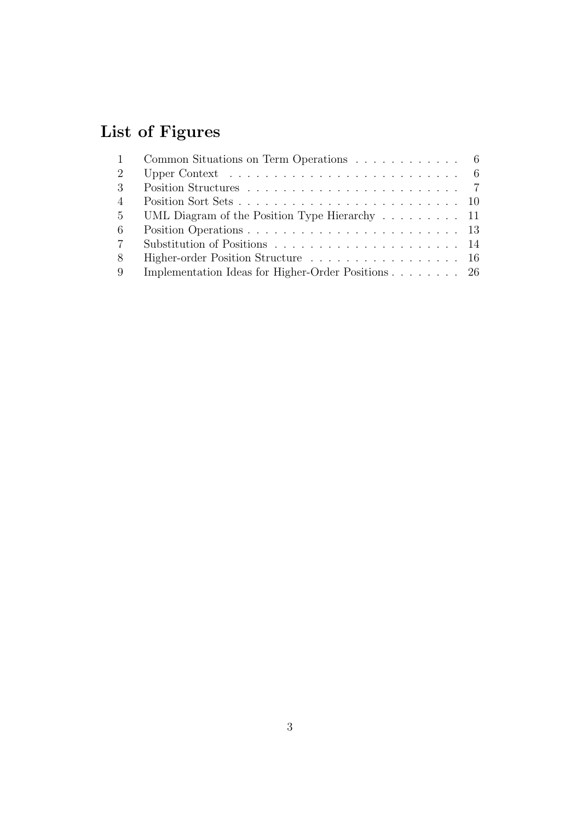# List of Figures

| 1               | Common Situations on Term Operations 6                                                  |
|-----------------|-----------------------------------------------------------------------------------------|
| 2               | Upper Context $\ldots \ldots \ldots \ldots \ldots \ldots \ldots \ldots \ldots \ldots 6$ |
| 3               |                                                                                         |
| $\overline{4}$  |                                                                                         |
| $5\overline{)}$ | UML Diagram of the Position Type Hierarchy 11                                           |
| -6              |                                                                                         |
| $7\phantom{.0}$ |                                                                                         |
| 8               | Higher-order Position Structure 16                                                      |
| -9              | Implementation Ideas for Higher-Order Positions 26                                      |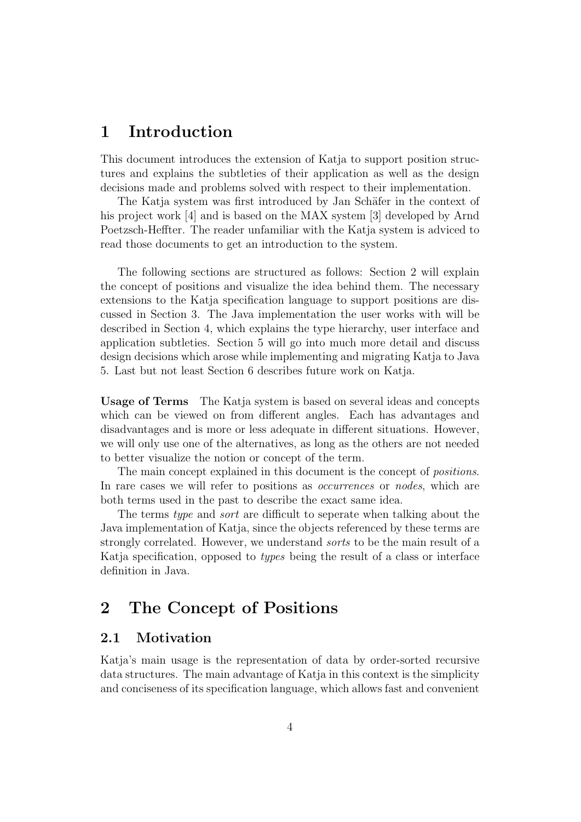# 1 Introduction

This document introduces the extension of Katja to support position structures and explains the subtleties of their application as well as the design decisions made and problems solved with respect to their implementation.

The Katja system was first introduced by Jan Schäfer in the context of his project work [4] and is based on the MAX system [3] developed by Arnd Poetzsch-Heffter. The reader unfamiliar with the Katja system is adviced to read those documents to get an introduction to the system.

The following sections are structured as follows: Section 2 will explain the concept of positions and visualize the idea behind them. The necessary extensions to the Katja specification language to support positions are discussed in Section 3. The Java implementation the user works with will be described in Section 4, which explains the type hierarchy, user interface and application subtleties. Section 5 will go into much more detail and discuss design decisions which arose while implementing and migrating Katja to Java 5. Last but not least Section 6 describes future work on Katja.

Usage of Terms The Katja system is based on several ideas and concepts which can be viewed on from different angles. Each has advantages and disadvantages and is more or less adequate in different situations. However, we will only use one of the alternatives, as long as the others are not needed to better visualize the notion or concept of the term.

The main concept explained in this document is the concept of *positions*. In rare cases we will refer to positions as *occurrences* or *nodes*, which are both terms used in the past to describe the exact same idea.

The terms type and sort are difficult to seperate when talking about the Java implementation of Katja, since the objects referenced by these terms are strongly correlated. However, we understand sorts to be the main result of a Katja specification, opposed to types being the result of a class or interface definition in Java.

# 2 The Concept of Positions

# 2.1 Motivation

Katja's main usage is the representation of data by order-sorted recursive data structures. The main advantage of Katja in this context is the simplicity and conciseness of its specification language, which allows fast and convenient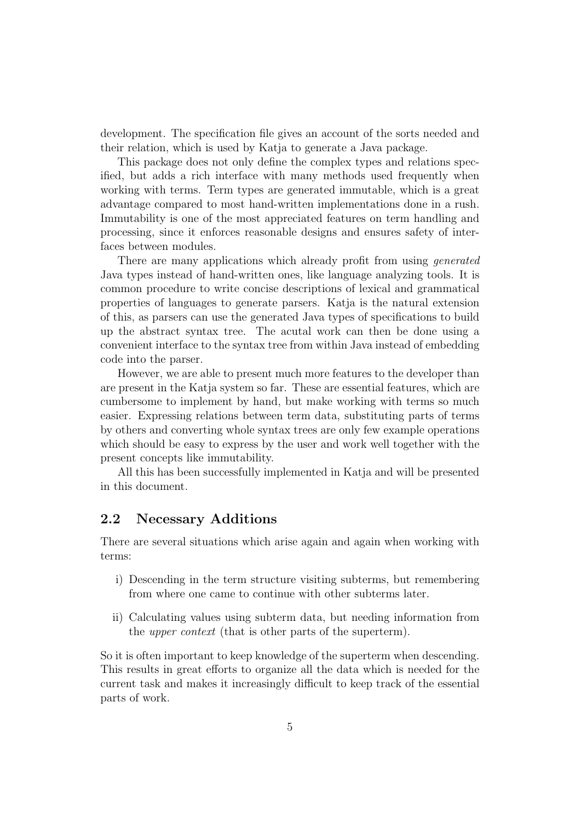development. The specification file gives an account of the sorts needed and their relation, which is used by Katja to generate a Java package.

This package does not only define the complex types and relations specified, but adds a rich interface with many methods used frequently when working with terms. Term types are generated immutable, which is a great advantage compared to most hand-written implementations done in a rush. Immutability is one of the most appreciated features on term handling and processing, since it enforces reasonable designs and ensures safety of interfaces between modules.

There are many applications which already profit from using *generated* Java types instead of hand-written ones, like language analyzing tools. It is common procedure to write concise descriptions of lexical and grammatical properties of languages to generate parsers. Katja is the natural extension of this, as parsers can use the generated Java types of specifications to build up the abstract syntax tree. The acutal work can then be done using a convenient interface to the syntax tree from within Java instead of embedding code into the parser.

However, we are able to present much more features to the developer than are present in the Katja system so far. These are essential features, which are cumbersome to implement by hand, but make working with terms so much easier. Expressing relations between term data, substituting parts of terms by others and converting whole syntax trees are only few example operations which should be easy to express by the user and work well together with the present concepts like immutability.

All this has been successfully implemented in Katja and will be presented in this document.

# 2.2 Necessary Additions

There are several situations which arise again and again when working with terms:

- i) Descending in the term structure visiting subterms, but remembering from where one came to continue with other subterms later.
- ii) Calculating values using subterm data, but needing information from the upper context (that is other parts of the superterm).

So it is often important to keep knowledge of the superterm when descending. This results in great efforts to organize all the data which is needed for the current task and makes it increasingly difficult to keep track of the essential parts of work.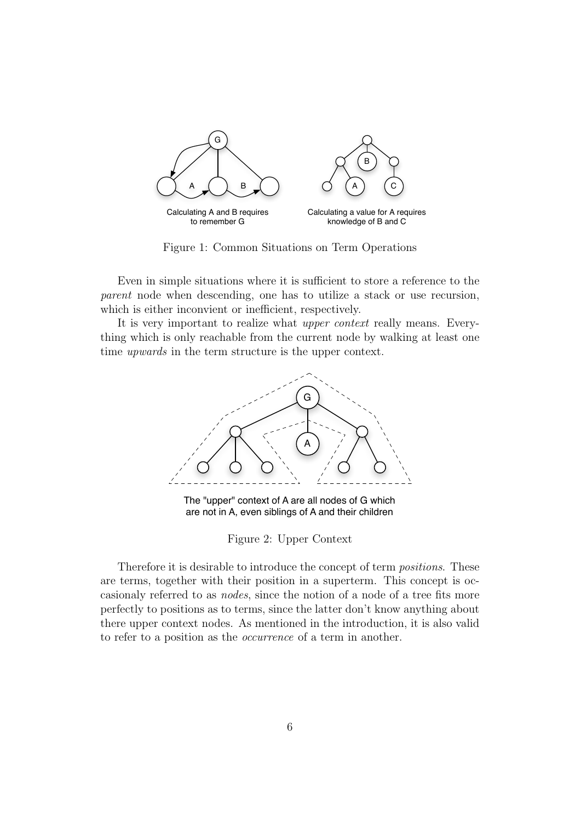

Figure 1: Common Situations on Term Operations

Even in simple situations where it is sufficient to store a reference to the parent node when descending, one has to utilize a stack or use recursion, which is either inconvient or inefficient, respectively.

It is very important to realize what upper context really means. Everything which is only reachable from the current node by walking at least one time upwards in the term structure is the upper context.



The "upper" context of A are all nodes of G which are not in A, even siblings of A and their children

Figure 2: Upper Context

Therefore it is desirable to introduce the concept of term positions. These are terms, together with their position in a superterm. This concept is occasionaly referred to as nodes, since the notion of a node of a tree fits more perfectly to positions as to terms, since the latter don't know anything about there upper context nodes. As mentioned in the introduction, it is also valid to refer to a position as the occurrence of a term in another.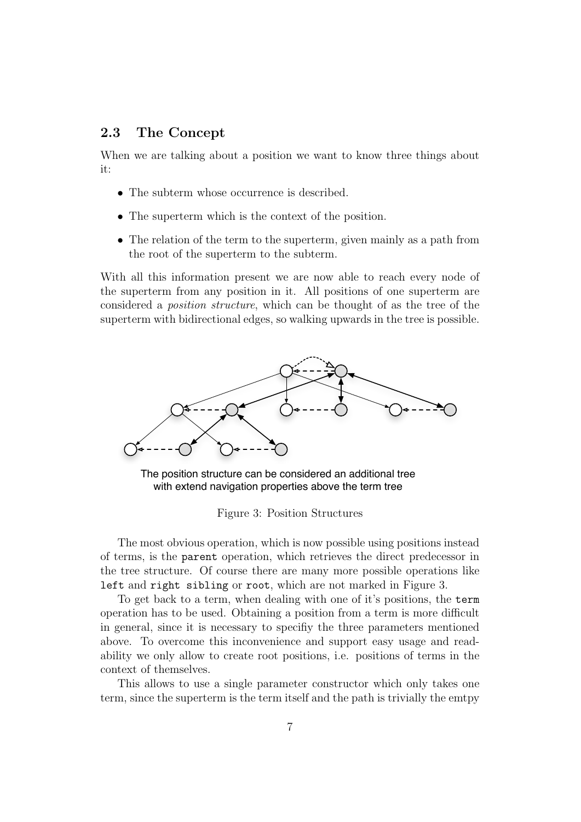# 2.3 The Concept

When we are talking about a position we want to know three things about it:

- The subterm whose occurrence is described.
- The superterm which is the context of the position.
- The relation of the term to the superterm, given mainly as a path from the root of the superterm to the subterm.

With all this information present we are now able to reach every node of the superterm from any position in it. All positions of one superterm are considered a position structure, which can be thought of as the tree of the superterm with bidirectional edges, so walking upwards in the tree is possible.



The position structure can be considered an additional tree with extend navigation properties above the term tree

Figure 3: Position Structures

The most obvious operation, which is now possible using positions instead of terms, is the parent operation, which retrieves the direct predecessor in the tree structure. Of course there are many more possible operations like left and right sibling or root, which are not marked in Figure 3.

To get back to a term, when dealing with one of it's positions, the term operation has to be used. Obtaining a position from a term is more difficult in general, since it is necessary to specifiy the three parameters mentioned above. To overcome this inconvenience and support easy usage and readability we only allow to create root positions, i.e. positions of terms in the context of themselves.

This allows to use a single parameter constructor which only takes one term, since the superterm is the term itself and the path is trivially the emtpy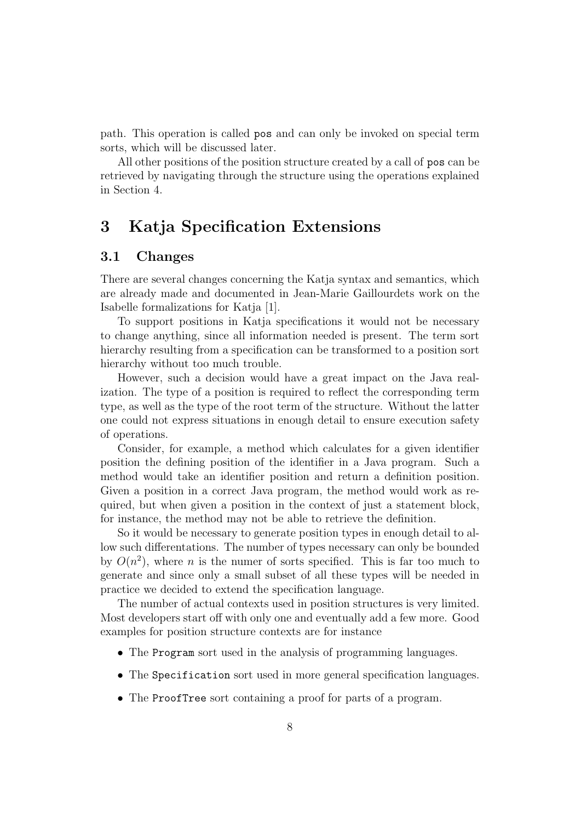path. This operation is called pos and can only be invoked on special term sorts, which will be discussed later.

All other positions of the position structure created by a call of pos can be retrieved by navigating through the structure using the operations explained in Section 4.

# 3 Katja Specification Extensions

### 3.1 Changes

There are several changes concerning the Katja syntax and semantics, which are already made and documented in Jean-Marie Gaillourdets work on the Isabelle formalizations for Katja [1].

To support positions in Katja specifications it would not be necessary to change anything, since all information needed is present. The term sort hierarchy resulting from a specification can be transformed to a position sort hierarchy without too much trouble.

However, such a decision would have a great impact on the Java realization. The type of a position is required to reflect the corresponding term type, as well as the type of the root term of the structure. Without the latter one could not express situations in enough detail to ensure execution safety of operations.

Consider, for example, a method which calculates for a given identifier position the defining position of the identifier in a Java program. Such a method would take an identifier position and return a definition position. Given a position in a correct Java program, the method would work as required, but when given a position in the context of just a statement block, for instance, the method may not be able to retrieve the definition.

So it would be necessary to generate position types in enough detail to allow such differentations. The number of types necessary can only be bounded by  $O(n^2)$ , where *n* is the numer of sorts specified. This is far too much to generate and since only a small subset of all these types will be needed in practice we decided to extend the specification language.

The number of actual contexts used in position structures is very limited. Most developers start off with only one and eventually add a few more. Good examples for position structure contexts are for instance

- The Program sort used in the analysis of programming languages.
- The Specification sort used in more general specification languages.
- The ProofTree sort containing a proof for parts of a program.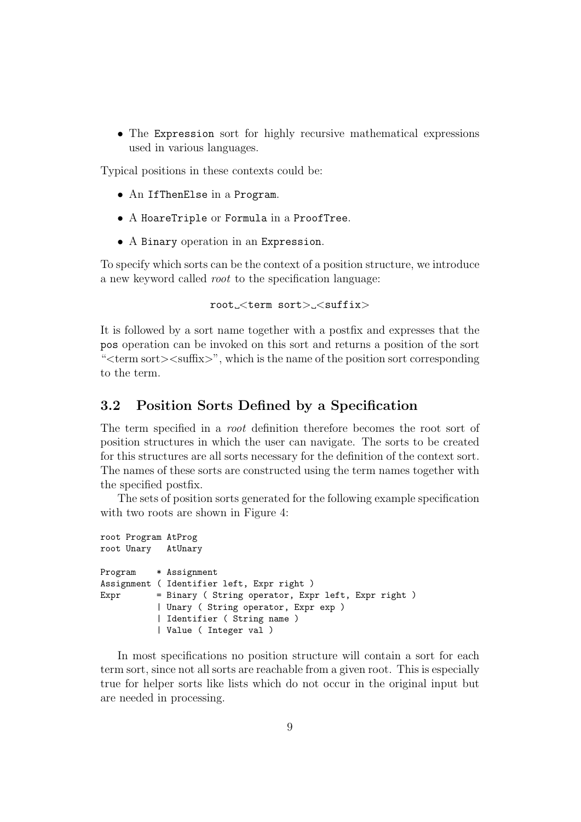• The Expression sort for highly recursive mathematical expressions used in various languages.

Typical positions in these contexts could be:

- An IfThenElse in a Program.
- A HoareTriple or Formula in a ProofTree.
- A Binary operation in an Expression.

To specify which sorts can be the context of a position structure, we introduce a new keyword called root to the specification language:

```
root_<term sort> <suffix>
```
It is followed by a sort name together with a postfix and expresses that the pos operation can be invoked on this sort and returns a position of the sort " $\leq$ term sort $\geq$  $\leq$ suffix $\geq$ ", which is the name of the position sort corresponding to the term.

## 3.2 Position Sorts Defined by a Specification

The term specified in a *root* definition therefore becomes the root sort of position structures in which the user can navigate. The sorts to be created for this structures are all sorts necessary for the definition of the context sort. The names of these sorts are constructed using the term names together with the specified postfix.

The sets of position sorts generated for the following example specification with two roots are shown in Figure 4:

```
root Program AtProg
root Unary AtUnary
Program * Assignment
Assignment ( Identifier left, Expr right )
Expr = Binary ( String operator, Expr left, Expr right )
           | Unary ( String operator, Expr exp )
           | Identifier ( String name )
           | Value ( Integer val )
```
In most specifications no position structure will contain a sort for each term sort, since not all sorts are reachable from a given root. This is especially true for helper sorts like lists which do not occur in the original input but are needed in processing.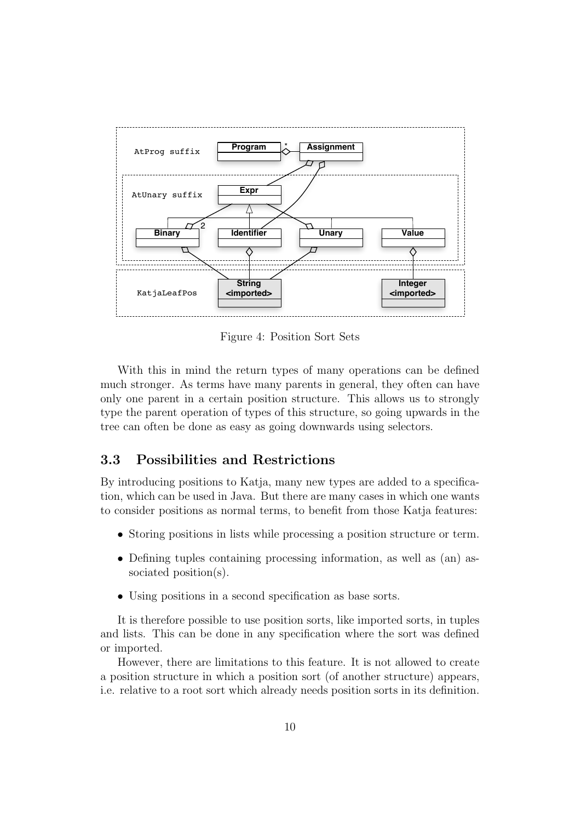

Figure 4: Position Sort Sets

With this in mind the return types of many operations can be defined much stronger. As terms have many parents in general, they often can have only one parent in a certain position structure. This allows us to strongly type the parent operation of types of this structure, so going upwards in the tree can often be done as easy as going downwards using selectors.

## 3.3 Possibilities and Restrictions

By introducing positions to Katja, many new types are added to a specification, which can be used in Java. But there are many cases in which one wants to consider positions as normal terms, to benefit from those Katja features:

- Storing positions in lists while processing a position structure or term.
- Defining tuples containing processing information, as well as (an) associated position(s).
- Using positions in a second specification as base sorts.

It is therefore possible to use position sorts, like imported sorts, in tuples and lists. This can be done in any specification where the sort was defined or imported.

However, there are limitations to this feature. It is not allowed to create a position structure in which a position sort (of another structure) appears, i.e. relative to a root sort which already needs position sorts in its definition.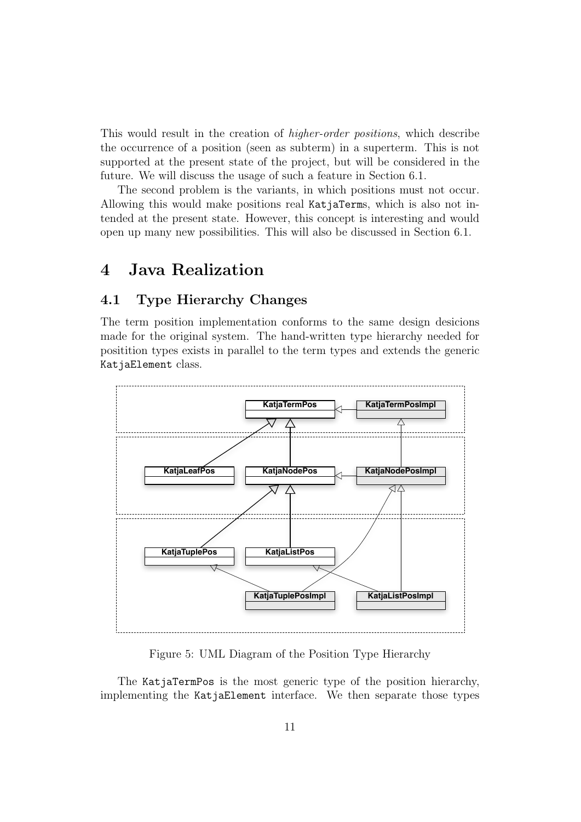This would result in the creation of higher-order positions, which describe the occurrence of a position (seen as subterm) in a superterm. This is not supported at the present state of the project, but will be considered in the future. We will discuss the usage of such a feature in Section 6.1.

The second problem is the variants, in which positions must not occur. Allowing this would make positions real KatjaTerms, which is also not intended at the present state. However, this concept is interesting and would open up many new possibilities. This will also be discussed in Section 6.1.

# 4 Java Realization

# 4.1 Type Hierarchy Changes

The term position implementation conforms to the same design desicions made for the original system. The hand-written type hierarchy needed for positition types exists in parallel to the term types and extends the generic KatjaElement class.



Figure 5: UML Diagram of the Position Type Hierarchy

The KatjaTermPos is the most generic type of the position hierarchy, implementing the KatjaElement interface. We then separate those types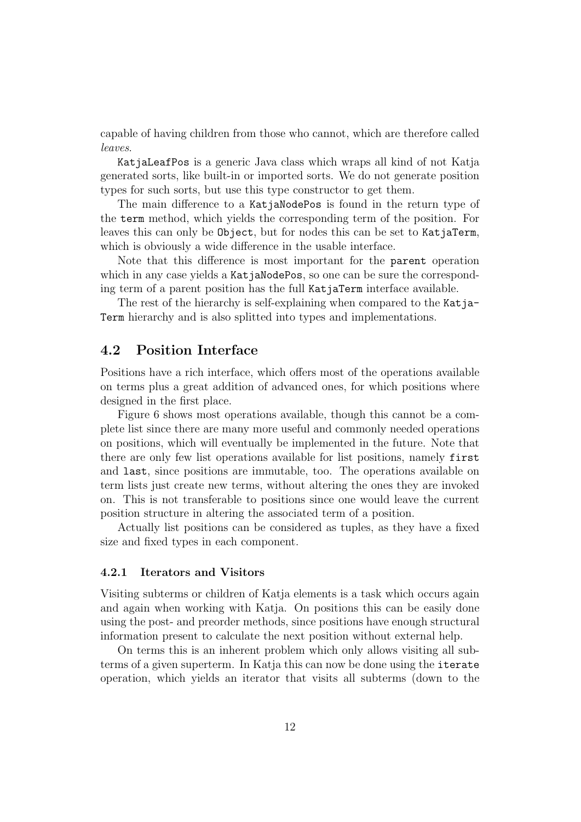capable of having children from those who cannot, which are therefore called leaves.

KatjaLeafPos is a generic Java class which wraps all kind of not Katja generated sorts, like built-in or imported sorts. We do not generate position types for such sorts, but use this type constructor to get them.

The main difference to a KatjaNodePos is found in the return type of the term method, which yields the corresponding term of the position. For leaves this can only be Object, but for nodes this can be set to KatjaTerm, which is obviously a wide difference in the usable interface.

Note that this difference is most important for the parent operation which in any case yields a KatjaNodePos, so one can be sure the corresponding term of a parent position has the full KatjaTerm interface available.

The rest of the hierarchy is self-explaining when compared to the Katja-Term hierarchy and is also splitted into types and implementations.

### 4.2 Position Interface

Positions have a rich interface, which offers most of the operations available on terms plus a great addition of advanced ones, for which positions where designed in the first place.

Figure 6 shows most operations available, though this cannot be a complete list since there are many more useful and commonly needed operations on positions, which will eventually be implemented in the future. Note that there are only few list operations available for list positions, namely first and last, since positions are immutable, too. The operations available on term lists just create new terms, without altering the ones they are invoked on. This is not transferable to positions since one would leave the current position structure in altering the associated term of a position.

Actually list positions can be considered as tuples, as they have a fixed size and fixed types in each component.

#### 4.2.1 Iterators and Visitors

Visiting subterms or children of Katja elements is a task which occurs again and again when working with Katja. On positions this can be easily done using the post- and preorder methods, since positions have enough structural information present to calculate the next position without external help.

On terms this is an inherent problem which only allows visiting all subterms of a given superterm. In Katja this can now be done using the iterate operation, which yields an iterator that visits all subterms (down to the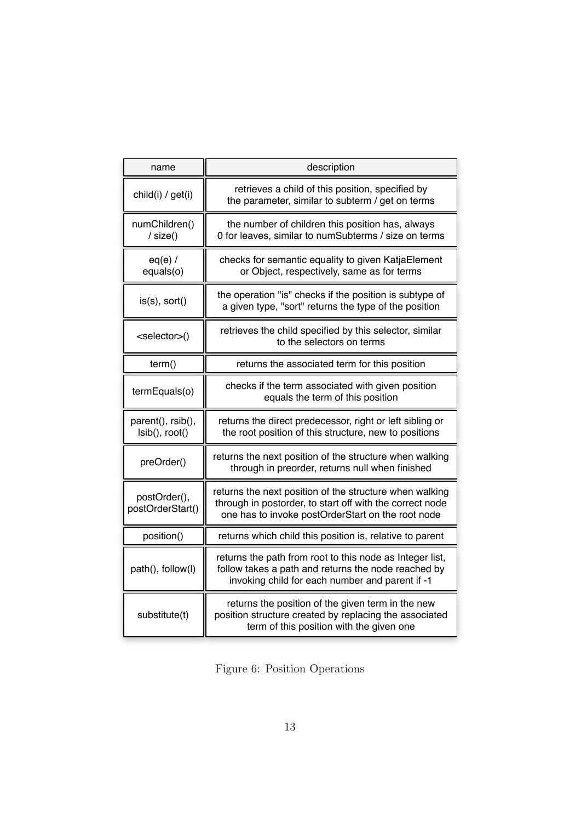| name                                | description                                                                                                                                                              |
|-------------------------------------|--------------------------------------------------------------------------------------------------------------------------------------------------------------------------|
| child(i) / get(i)                   | retrieves a child of this position, specified by<br>the parameter, similar to subterm / get on terms                                                                     |
| numChildren()<br>/ size()           | the number of children this position has, always<br>0 for leaves, similar to numSubterms / size on terms                                                                 |
| $eq(e)$ /<br>equals(o)              | checks for semantic equality to given KatjaElement<br>or Object, respectively, same as for terms                                                                         |
| is(s), sort()                       | the operation "is" checks if the position is subtype of<br>a given type, "sort" returns the type of the position                                                         |
| <selector>()</selector>             | retrieves the child specified by this selector, similar<br>to the selectors on terms                                                                                     |
| term()                              | returns the associated term for this position                                                                                                                            |
| termEquals(o)                       | checks if the term associated with given position<br>equals the term of this position                                                                                    |
| parent(), rsib(),<br>Isib(), root() | returns the direct predecessor, right or left sibling or<br>the root position of this structure, new to positions                                                        |
| preOrder()                          | returns the next position of the structure when walking<br>through in preorder, returns null when finished                                                               |
| postOrder(),<br>postOrderStart()    | returns the next position of the structure when walking<br>through in postorder, to start off with the correct node<br>one has to invoke postOrderStart on the root node |
| position()                          | returns which child this position is, relative to parent                                                                                                                 |
| path(), follow(l)                   | returns the path from root to this node as Integer list,<br>follow takes a path and returns the node reached by<br>invoking child for each number and parent if -1       |
| substitute(t)                       | returns the position of the given term in the new<br>position structure created by replacing the associated<br>term of this position with the given one                  |

Figure 6: Position Operations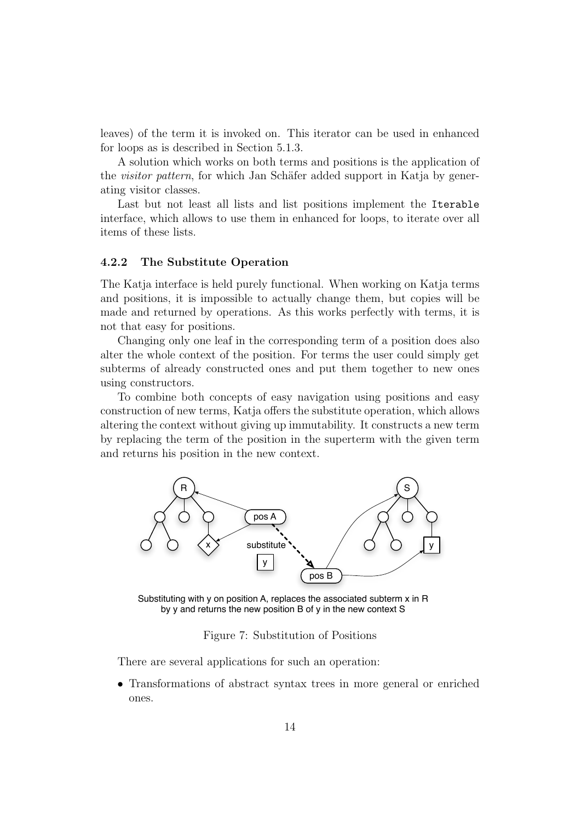leaves) of the term it is invoked on. This iterator can be used in enhanced for loops as is described in Section 5.1.3.

A solution which works on both terms and positions is the application of the *visitor pattern*, for which Jan Schäfer added support in Katja by generating visitor classes.

Last but not least all lists and list positions implement the Iterable interface, which allows to use them in enhanced for loops, to iterate over all items of these lists.

### 4.2.2 The Substitute Operation

The Katja interface is held purely functional. When working on Katja terms and positions, it is impossible to actually change them, but copies will be made and returned by operations. As this works perfectly with terms, it is not that easy for positions.

Changing only one leaf in the corresponding term of a position does also alter the whole context of the position. For terms the user could simply get subterms of already constructed ones and put them together to new ones using constructors.

To combine both concepts of easy navigation using positions and easy construction of new terms, Katja offers the substitute operation, which allows altering the context without giving up immutability. It constructs a new term by replacing the term of the position in the superterm with the given term and returns his position in the new context.



Substituting with y on position A, replaces the associated subterm x in R by y and returns the new position B of y in the new context S

Figure 7: Substitution of Positions

There are several applications for such an operation:

• Transformations of abstract syntax trees in more general or enriched ones.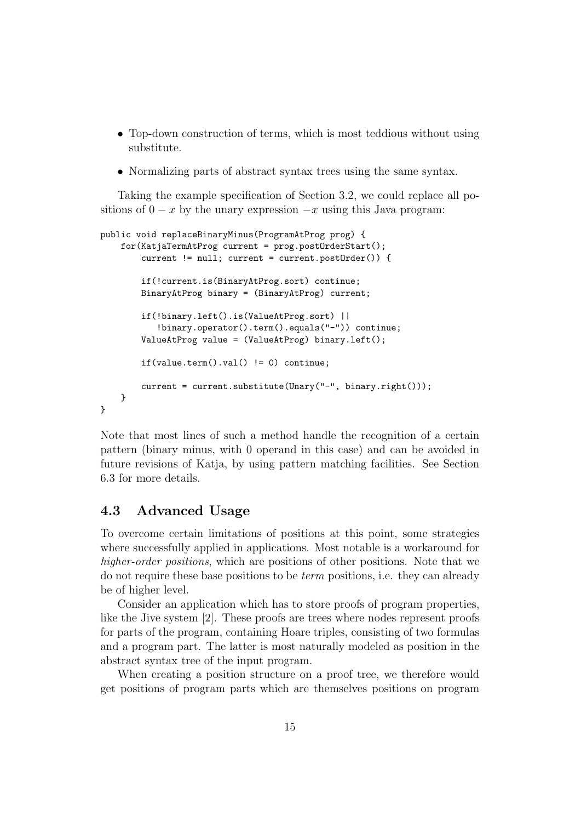- Top-down construction of terms, which is most teddious without using substitute.
- Normalizing parts of abstract syntax trees using the same syntax.

Taking the example specification of Section 3.2, we could replace all positions of  $0 - x$  by the unary expression  $-x$  using this Java program:

```
public void replaceBinaryMinus(ProgramAtProg prog) {
    for(KatjaTermAtProg current = prog.postOrderStart();
        current != null; current = current.postOrder()) {
        if(!current.is(BinaryAtProg.sort) continue;
        BinaryAtProg binary = (BinaryAtProg) current;
        if(!binary.left().is(ValueAtProg.sort) ||
           !binary.operator().term().equals("-")) continue;
        ValueAtProg value = (ValueAtProg) binary.left();
        if(value.term().val() != 0) continue;current = current.substitute(Unary("-", binary.right()));
    }
}
```
Note that most lines of such a method handle the recognition of a certain pattern (binary minus, with 0 operand in this case) and can be avoided in future revisions of Katja, by using pattern matching facilities. See Section 6.3 for more details.

# 4.3 Advanced Usage

To overcome certain limitations of positions at this point, some strategies where successfully applied in applications. Most notable is a workaround for higher-order positions, which are positions of other positions. Note that we do not require these base positions to be term positions, i.e. they can already be of higher level.

Consider an application which has to store proofs of program properties, like the Jive system [2]. These proofs are trees where nodes represent proofs for parts of the program, containing Hoare triples, consisting of two formulas and a program part. The latter is most naturally modeled as position in the abstract syntax tree of the input program.

When creating a position structure on a proof tree, we therefore would get positions of program parts which are themselves positions on program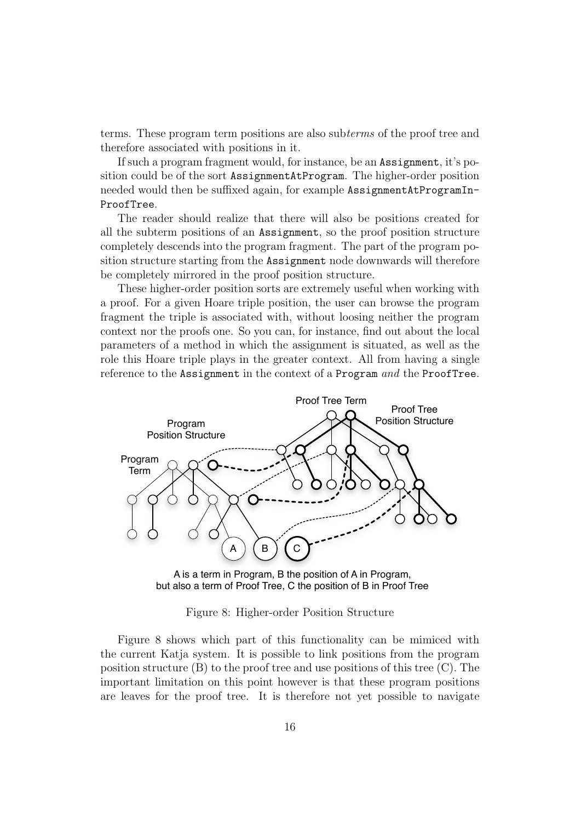terms. These program term positions are also subterms of the proof tree and therefore associated with positions in it.

If such a program fragment would, for instance, be an Assignment, it's position could be of the sort AssignmentAtProgram. The higher-order position needed would then be suffixed again, for example AssignmentAtProgramIn-ProofTree.

The reader should realize that there will also be positions created for all the subterm positions of an Assignment, so the proof position structure completely descends into the program fragment. The part of the program position structure starting from the Assignment node downwards will therefore be completely mirrored in the proof position structure.

These higher-order position sorts are extremely useful when working with a proof. For a given Hoare triple position, the user can browse the program fragment the triple is associated with, without loosing neither the program context nor the proofs one. So you can, for instance, find out about the local parameters of a method in which the assignment is situated, as well as the role this Hoare triple plays in the greater context. All from having a single reference to the Assignment in the context of a Program and the ProofTree.



A is a term in Program, B the position of A in Program, but also a term of Proof Tree, C the position of B in Proof Tree

Figure 8: Higher-order Position Structure

Figure 8 shows which part of this functionality can be mimiced with the current Katja system. It is possible to link positions from the program position structure  $(B)$  to the proof tree and use positions of this tree  $(C)$ . The important limitation on this point however is that these program positions are leaves for the proof tree. It is therefore not yet possible to navigate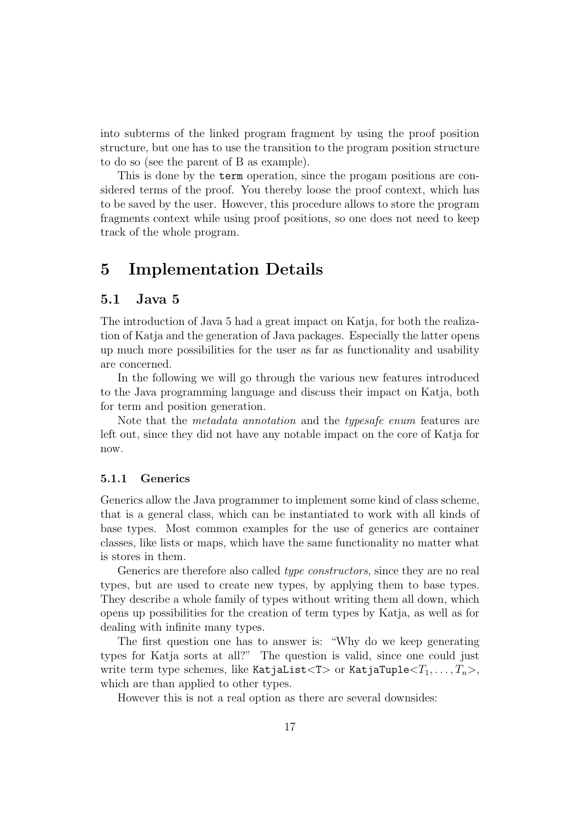into subterms of the linked program fragment by using the proof position structure, but one has to use the transition to the program position structure to do so (see the parent of B as example).

This is done by the term operation, since the progam positions are considered terms of the proof. You thereby loose the proof context, which has to be saved by the user. However, this procedure allows to store the program fragments context while using proof positions, so one does not need to keep track of the whole program.

# 5 Implementation Details

# 5.1 Java 5

The introduction of Java 5 had a great impact on Katja, for both the realization of Katja and the generation of Java packages. Especially the latter opens up much more possibilities for the user as far as functionality and usability are concerned.

In the following we will go through the various new features introduced to the Java programming language and discuss their impact on Katja, both for term and position generation.

Note that the metadata annotation and the typesafe enum features are left out, since they did not have any notable impact on the core of Katja for now.

#### 5.1.1 Generics

Generics allow the Java programmer to implement some kind of class scheme, that is a general class, which can be instantiated to work with all kinds of base types. Most common examples for the use of generics are container classes, like lists or maps, which have the same functionality no matter what is stores in them.

Generics are therefore also called *type constructors*, since they are no real types, but are used to create new types, by applying them to base types. They describe a whole family of types without writing them all down, which opens up possibilities for the creation of term types by Katja, as well as for dealing with infinite many types.

The first question one has to answer is: "Why do we keep generating types for Katja sorts at all?" The question is valid, since one could just write term type schemes, like KatjaList<T> or KatjaTuple< $T_1, \ldots, T_n$ >, which are than applied to other types.

However this is not a real option as there are several downsides: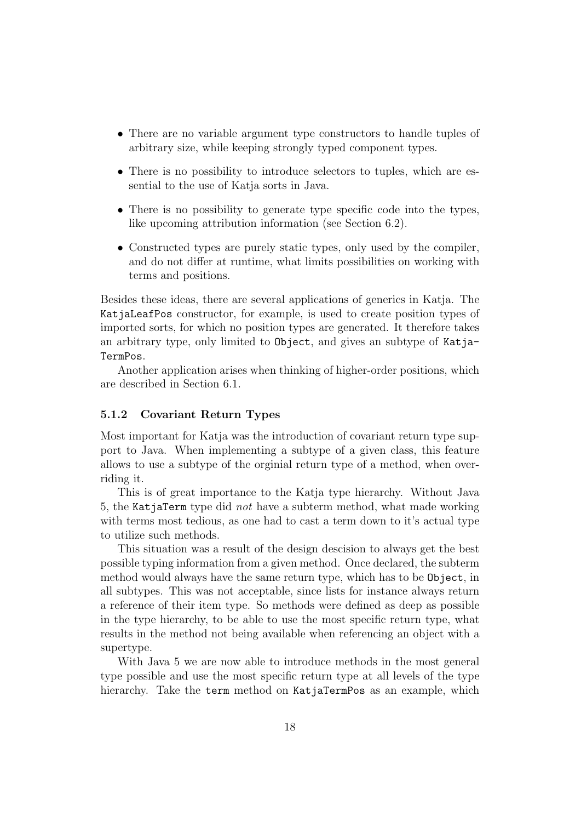- There are no variable argument type constructors to handle tuples of arbitrary size, while keeping strongly typed component types.
- There is no possibility to introduce selectors to tuples, which are essential to the use of Katja sorts in Java.
- There is no possibility to generate type specific code into the types, like upcoming attribution information (see Section 6.2).
- Constructed types are purely static types, only used by the compiler, and do not differ at runtime, what limits possibilities on working with terms and positions.

Besides these ideas, there are several applications of generics in Katja. The KatjaLeafPos constructor, for example, is used to create position types of imported sorts, for which no position types are generated. It therefore takes an arbitrary type, only limited to Object, and gives an subtype of Katja-TermPos.

Another application arises when thinking of higher-order positions, which are described in Section 6.1.

#### 5.1.2 Covariant Return Types

Most important for Katja was the introduction of covariant return type support to Java. When implementing a subtype of a given class, this feature allows to use a subtype of the orginial return type of a method, when overriding it.

This is of great importance to the Katja type hierarchy. Without Java 5, the KatjaTerm type did not have a subterm method, what made working with terms most tedious, as one had to cast a term down to it's actual type to utilize such methods.

This situation was a result of the design descision to always get the best possible typing information from a given method. Once declared, the subterm method would always have the same return type, which has to be Object, in all subtypes. This was not acceptable, since lists for instance always return a reference of their item type. So methods were defined as deep as possible in the type hierarchy, to be able to use the most specific return type, what results in the method not being available when referencing an object with a supertype.

With Java 5 we are now able to introduce methods in the most general type possible and use the most specific return type at all levels of the type hierarchy. Take the term method on KatjaTermPos as an example, which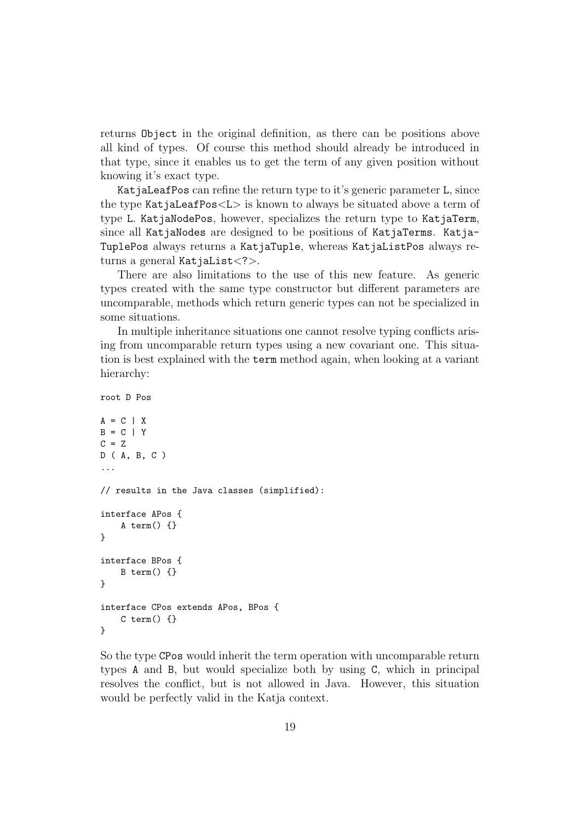returns Object in the original definition, as there can be positions above all kind of types. Of course this method should already be introduced in that type, since it enables us to get the term of any given position without knowing it's exact type.

KatjaLeafPos can refine the return type to it's generic parameter L, since the type KatjaLeafPos<L> is known to always be situated above a term of type L. KatjaNodePos, however, specializes the return type to KatjaTerm, since all KatjaNodes are designed to be positions of KatjaTerms. Katja-TuplePos always returns a KatjaTuple, whereas KatjaListPos always returns a general KatjaList<?>.

There are also limitations to the use of this new feature. As generic types created with the same type constructor but different parameters are uncomparable, methods which return generic types can not be specialized in some situations.

In multiple inheritance situations one cannot resolve typing conflicts arising from uncomparable return types using a new covariant one. This situation is best explained with the term method again, when looking at a variant hierarchy:

```
root D Pos
```

```
A = C | XB = C | YC = ZD ( A, B, C )
...
// results in the Java classes (simplified):
interface APos {
    A term() {}
}
interface BPos {
    B term() \{\}}
interface CPos extends APos, BPos {
    C term() {}
}
```
So the type CPos would inherit the term operation with uncomparable return types A and B, but would specialize both by using C, which in principal resolves the conflict, but is not allowed in Java. However, this situation would be perfectly valid in the Katja context.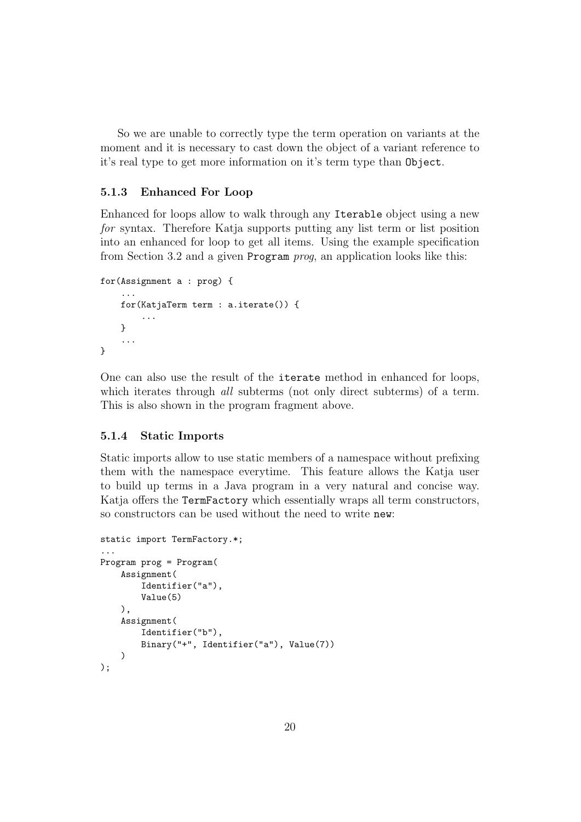So we are unable to correctly type the term operation on variants at the moment and it is necessary to cast down the object of a variant reference to it's real type to get more information on it's term type than Object.

#### 5.1.3 Enhanced For Loop

Enhanced for loops allow to walk through any Iterable object using a new for syntax. Therefore Katja supports putting any list term or list position into an enhanced for loop to get all items. Using the example specification from Section 3.2 and a given Program prog, an application looks like this:

```
for(Assignment a : prog) {
    ...
    for(KatjaTerm term : a.iterate()) {
         ...
    }
    ...
}
```
One can also use the result of the iterate method in enhanced for loops, which iterates through *all* subterms (not only direct subterms) of a term. This is also shown in the program fragment above.

#### 5.1.4 Static Imports

Static imports allow to use static members of a namespace without prefixing them with the namespace everytime. This feature allows the Katja user to build up terms in a Java program in a very natural and concise way. Katja offers the TermFactory which essentially wraps all term constructors, so constructors can be used without the need to write new:

```
static import TermFactory.*;
...
Program prog = Program(
    Assignment(
        Identifier("a"),
        Value(5)
    ),
    Assignment(
        Identifier("b"),
        Binary("+", Identifier("a"), Value(7))
    )
);
```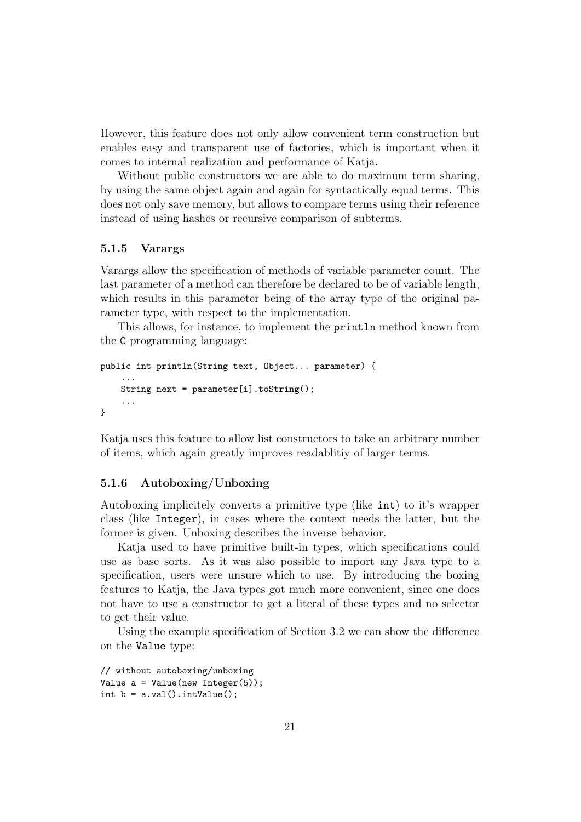However, this feature does not only allow convenient term construction but enables easy and transparent use of factories, which is important when it comes to internal realization and performance of Katja.

Without public constructors we are able to do maximum term sharing, by using the same object again and again for syntactically equal terms. This does not only save memory, but allows to compare terms using their reference instead of using hashes or recursive comparison of subterms.

#### 5.1.5 Varargs

Varargs allow the specification of methods of variable parameter count. The last parameter of a method can therefore be declared to be of variable length, which results in this parameter being of the array type of the original parameter type, with respect to the implementation.

This allows, for instance, to implement the println method known from the C programming language:

```
public int println(String text, Object... parameter) {
    ...
    String next = parameter[i].toString();
    ...
}
```
Katja uses this feature to allow list constructors to take an arbitrary number of items, which again greatly improves readablitiy of larger terms.

#### 5.1.6 Autoboxing/Unboxing

Autoboxing implicitely converts a primitive type (like int) to it's wrapper class (like Integer), in cases where the context needs the latter, but the former is given. Unboxing describes the inverse behavior.

Katja used to have primitive built-in types, which specifications could use as base sorts. As it was also possible to import any Java type to a specification, users were unsure which to use. By introducing the boxing features to Katja, the Java types got much more convenient, since one does not have to use a constructor to get a literal of these types and no selector to get their value.

Using the example specification of Section 3.2 we can show the difference on the Value type:

```
// without autoboxing/unboxing
Value a = Value(new Integer(5));int b = a.val().intValue();
```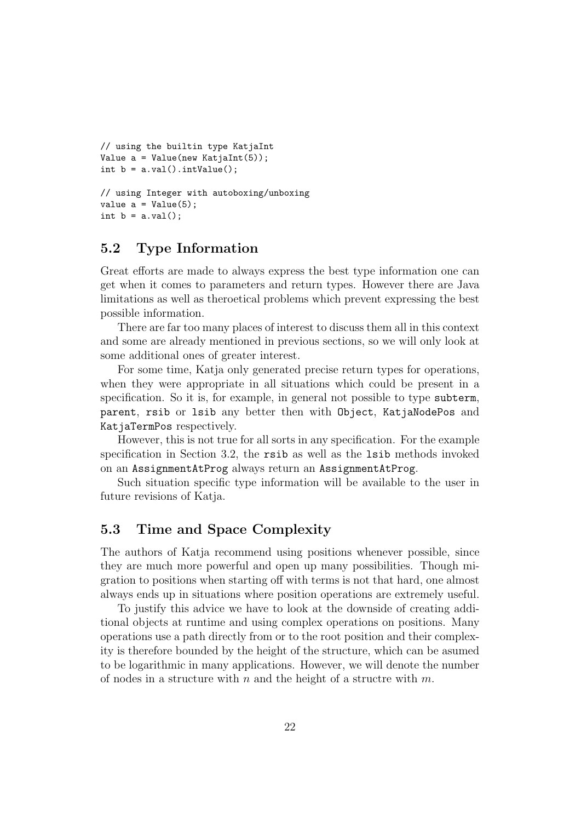```
// using the builtin type KatjaInt
Value a = Value(new Katjalnt(5));int b = a.val() . intValue();
// using Integer with autoboxing/unboxing
value a = Value(5);
int b = a.val();
```
# 5.2 Type Information

Great efforts are made to always express the best type information one can get when it comes to parameters and return types. However there are Java limitations as well as theroetical problems which prevent expressing the best possible information.

There are far too many places of interest to discuss them all in this context and some are already mentioned in previous sections, so we will only look at some additional ones of greater interest.

For some time, Katja only generated precise return types for operations, when they were appropriate in all situations which could be present in a specification. So it is, for example, in general not possible to type subterm, parent, rsib or lsib any better then with Object, KatjaNodePos and KatjaTermPos respectively.

However, this is not true for all sorts in any specification. For the example specification in Section 3.2, the rsib as well as the lsib methods invoked on an AssignmentAtProg always return an AssignmentAtProg.

Such situation specific type information will be available to the user in future revisions of Katja.

## 5.3 Time and Space Complexity

The authors of Katja recommend using positions whenever possible, since they are much more powerful and open up many possibilities. Though migration to positions when starting off with terms is not that hard, one almost always ends up in situations where position operations are extremely useful.

To justify this advice we have to look at the downside of creating additional objects at runtime and using complex operations on positions. Many operations use a path directly from or to the root position and their complexity is therefore bounded by the height of the structure, which can be asumed to be logarithmic in many applications. However, we will denote the number of nodes in a structure with n and the height of a structre with  $m$ .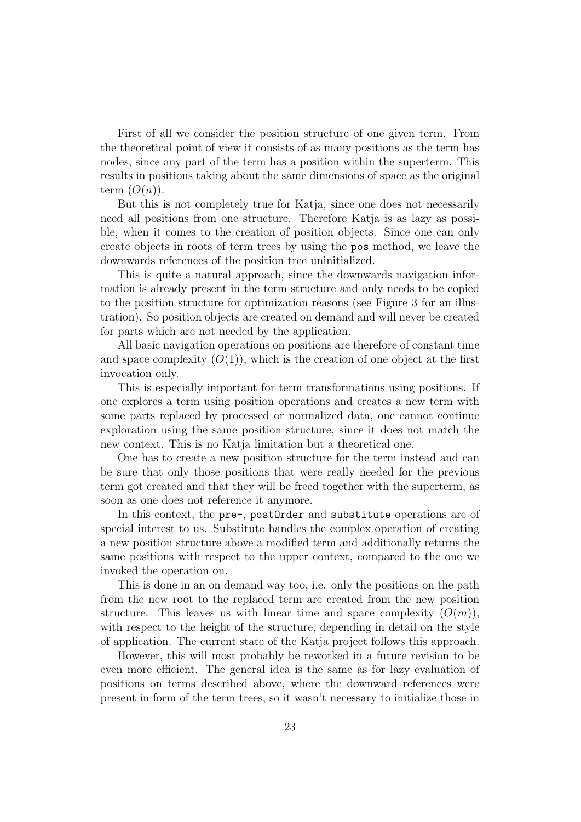First of all we consider the position structure of one given term. From the theoretical point of view it consists of as many positions as the term has nodes, since any part of the term has a position within the superterm. This results in positions taking about the same dimensions of space as the original term  $(O(n))$ .

But this is not completely true for Katja, since one does not necessarily need all positions from one structure. Therefore Katja is as lazy as possible, when it comes to the creation of position objects. Since one can only create objects in roots of term trees by using the pos method, we leave the downwards references of the position tree uninitialized.

This is quite a natural approach, since the downwards navigation information is already present in the term structure and only needs to be copied to the position structure for optimization reasons (see Figure 3 for an illustration). So position objects are created on demand and will never be created for parts which are not needed by the application.

All basic navigation operations on positions are therefore of constant time and space complexity  $(O(1))$ , which is the creation of one object at the first invocation only.

This is especially important for term transformations using positions. If one explores a term using position operations and creates a new term with some parts replaced by processed or normalized data, one cannot continue exploration using the same position structure, since it does not match the new context. This is no Katja limitation but a theoretical one.

One has to create a new position structure for the term instead and can be sure that only those positions that were really needed for the previous term got created and that they will be freed together with the superterm, as soon as one does not reference it anymore.

In this context, the pre-, postOrder and substitute operations are of special interest to us. Substitute handles the complex operation of creating a new position structure above a modified term and additionally returns the same positions with respect to the upper context, compared to the one we invoked the operation on.

This is done in an on demand way too, i.e. only the positions on the path from the new root to the replaced term are created from the new position structure. This leaves us with linear time and space complexity  $(O(m))$ , with respect to the height of the structure, depending in detail on the style of application. The current state of the Katja project follows this approach.

However, this will most probably be reworked in a future revision to be even more efficient. The general idea is the same as for lazy evaluation of positions on terms described above, where the downward references were present in form of the term trees, so it wasn't necessary to initialize those in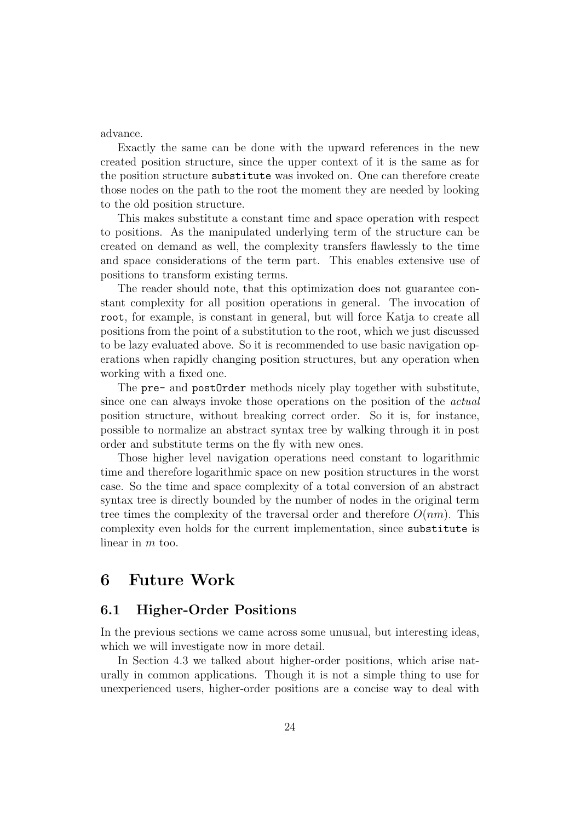advance.

Exactly the same can be done with the upward references in the new created position structure, since the upper context of it is the same as for the position structure substitute was invoked on. One can therefore create those nodes on the path to the root the moment they are needed by looking to the old position structure.

This makes substitute a constant time and space operation with respect to positions. As the manipulated underlying term of the structure can be created on demand as well, the complexity transfers flawlessly to the time and space considerations of the term part. This enables extensive use of positions to transform existing terms.

The reader should note, that this optimization does not guarantee constant complexity for all position operations in general. The invocation of root, for example, is constant in general, but will force Katja to create all positions from the point of a substitution to the root, which we just discussed to be lazy evaluated above. So it is recommended to use basic navigation operations when rapidly changing position structures, but any operation when working with a fixed one.

The pre- and postOrder methods nicely play together with substitute, since one can always invoke those operations on the position of the actual position structure, without breaking correct order. So it is, for instance, possible to normalize an abstract syntax tree by walking through it in post order and substitute terms on the fly with new ones.

Those higher level navigation operations need constant to logarithmic time and therefore logarithmic space on new position structures in the worst case. So the time and space complexity of a total conversion of an abstract syntax tree is directly bounded by the number of nodes in the original term tree times the complexity of the traversal order and therefore  $O(nm)$ . This complexity even holds for the current implementation, since substitute is linear in m too.

# 6 Future Work

# 6.1 Higher-Order Positions

In the previous sections we came across some unusual, but interesting ideas, which we will investigate now in more detail.

In Section 4.3 we talked about higher-order positions, which arise naturally in common applications. Though it is not a simple thing to use for unexperienced users, higher-order positions are a concise way to deal with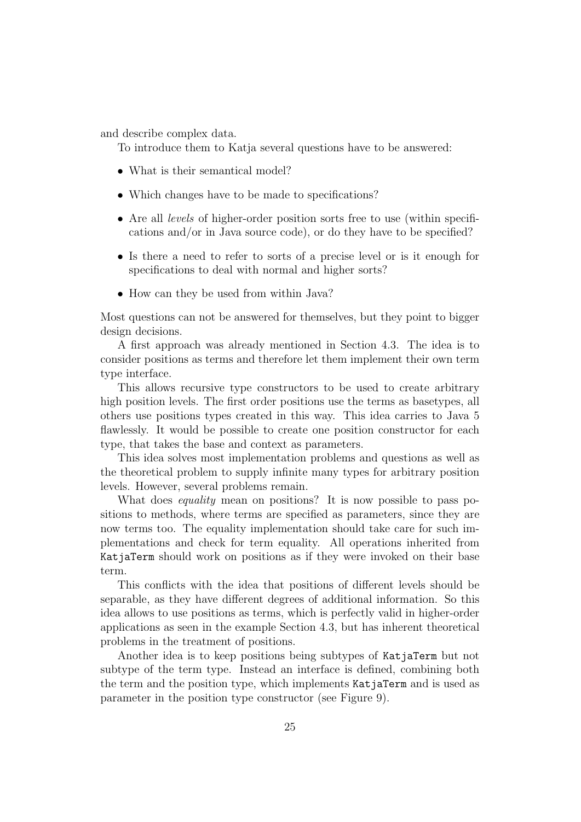and describe complex data.

To introduce them to Katja several questions have to be answered:

- What is their semantical model?
- Which changes have to be made to specifications?
- Are all *levels* of higher-order position sorts free to use (within specifications and/or in Java source code), or do they have to be specified?
- Is there a need to refer to sorts of a precise level or is it enough for specifications to deal with normal and higher sorts?
- How can they be used from within Java?

Most questions can not be answered for themselves, but they point to bigger design decisions.

A first approach was already mentioned in Section 4.3. The idea is to consider positions as terms and therefore let them implement their own term type interface.

This allows recursive type constructors to be used to create arbitrary high position levels. The first order positions use the terms as basetypes, all others use positions types created in this way. This idea carries to Java 5 flawlessly. It would be possible to create one position constructor for each type, that takes the base and context as parameters.

This idea solves most implementation problems and questions as well as the theoretical problem to supply infinite many types for arbitrary position levels. However, several problems remain.

What does *equality* mean on positions? It is now possible to pass positions to methods, where terms are specified as parameters, since they are now terms too. The equality implementation should take care for such implementations and check for term equality. All operations inherited from KatjaTerm should work on positions as if they were invoked on their base term.

This conflicts with the idea that positions of different levels should be separable, as they have different degrees of additional information. So this idea allows to use positions as terms, which is perfectly valid in higher-order applications as seen in the example Section 4.3, but has inherent theoretical problems in the treatment of positions.

Another idea is to keep positions being subtypes of KatjaTerm but not subtype of the term type. Instead an interface is defined, combining both the term and the position type, which implements KatjaTerm and is used as parameter in the position type constructor (see Figure 9).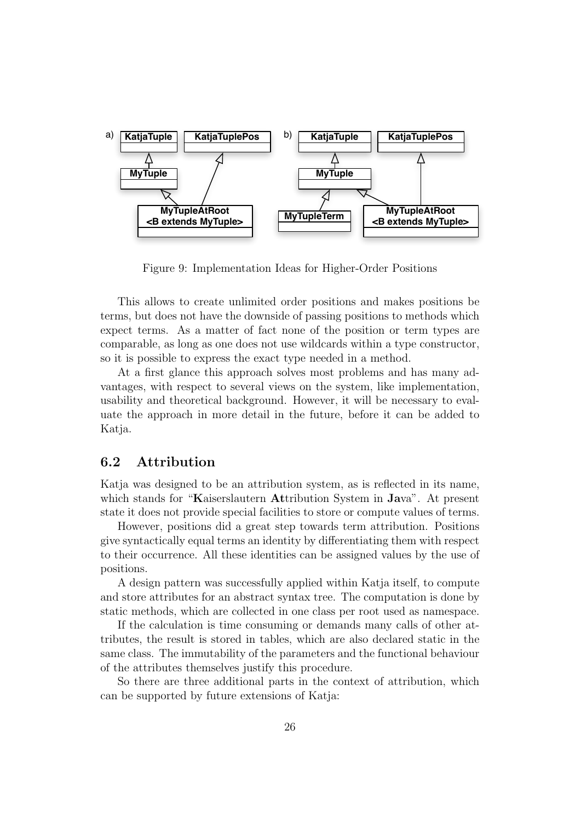

Figure 9: Implementation Ideas for Higher-Order Positions

This allows to create unlimited order positions and makes positions be terms, but does not have the downside of passing positions to methods which expect terms. As a matter of fact none of the position or term types are comparable, as long as one does not use wildcards within a type constructor, so it is possible to express the exact type needed in a method.

At a first glance this approach solves most problems and has many advantages, with respect to several views on the system, like implementation, usability and theoretical background. However, it will be necessary to evaluate the approach in more detail in the future, before it can be added to Katja.

### 6.2 Attribution

Katja was designed to be an attribution system, as is reflected in its name, which stands for "Kaiserslautern Attribution System in Java". At present state it does not provide special facilities to store or compute values of terms.

However, positions did a great step towards term attribution. Positions give syntactically equal terms an identity by differentiating them with respect to their occurrence. All these identities can be assigned values by the use of positions.

A design pattern was successfully applied within Katja itself, to compute and store attributes for an abstract syntax tree. The computation is done by static methods, which are collected in one class per root used as namespace.

If the calculation is time consuming or demands many calls of other attributes, the result is stored in tables, which are also declared static in the same class. The immutability of the parameters and the functional behaviour of the attributes themselves justify this procedure.

So there are three additional parts in the context of attribution, which can be supported by future extensions of Katja: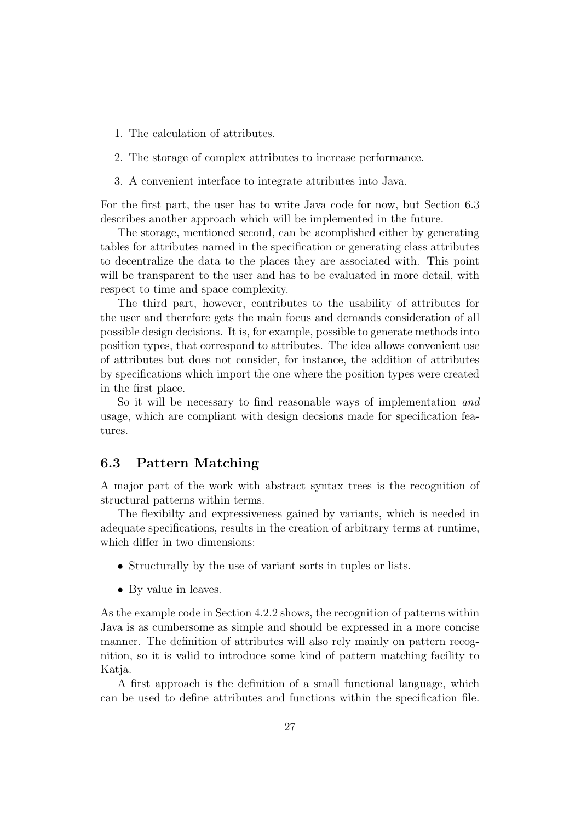- 1. The calculation of attributes.
- 2. The storage of complex attributes to increase performance.
- 3. A convenient interface to integrate attributes into Java.

For the first part, the user has to write Java code for now, but Section 6.3 describes another approach which will be implemented in the future.

The storage, mentioned second, can be acomplished either by generating tables for attributes named in the specification or generating class attributes to decentralize the data to the places they are associated with. This point will be transparent to the user and has to be evaluated in more detail, with respect to time and space complexity.

The third part, however, contributes to the usability of attributes for the user and therefore gets the main focus and demands consideration of all possible design decisions. It is, for example, possible to generate methods into position types, that correspond to attributes. The idea allows convenient use of attributes but does not consider, for instance, the addition of attributes by specifications which import the one where the position types were created in the first place.

So it will be necessary to find reasonable ways of implementation and usage, which are compliant with design decsions made for specification features.

### 6.3 Pattern Matching

A major part of the work with abstract syntax trees is the recognition of structural patterns within terms.

The flexibilty and expressiveness gained by variants, which is needed in adequate specifications, results in the creation of arbitrary terms at runtime, which differ in two dimensions:

- Structurally by the use of variant sorts in tuples or lists.
- By value in leaves.

As the example code in Section 4.2.2 shows, the recognition of patterns within Java is as cumbersome as simple and should be expressed in a more concise manner. The definition of attributes will also rely mainly on pattern recognition, so it is valid to introduce some kind of pattern matching facility to Katja.

A first approach is the definition of a small functional language, which can be used to define attributes and functions within the specification file.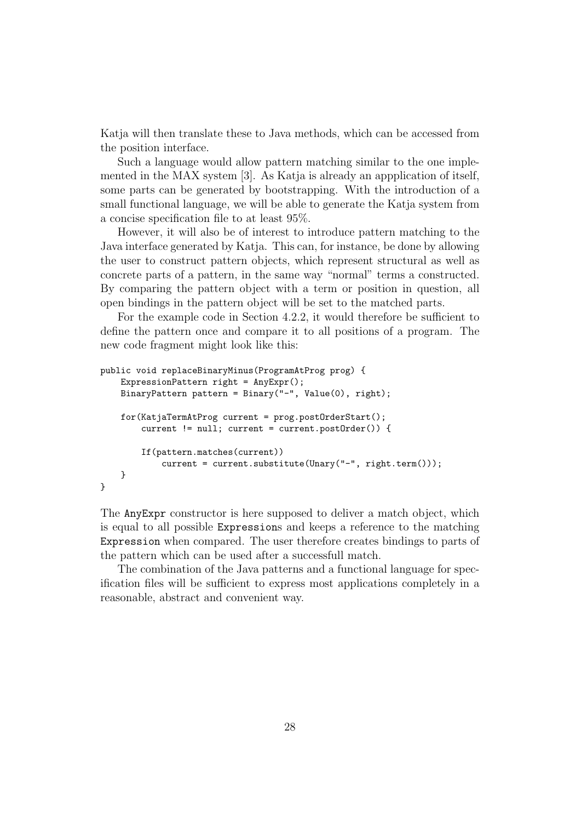Katja will then translate these to Java methods, which can be accessed from the position interface.

Such a language would allow pattern matching similar to the one implemented in the MAX system [3]. As Katja is already an appplication of itself, some parts can be generated by bootstrapping. With the introduction of a small functional language, we will be able to generate the Katja system from a concise specification file to at least 95%.

However, it will also be of interest to introduce pattern matching to the Java interface generated by Katja. This can, for instance, be done by allowing the user to construct pattern objects, which represent structural as well as concrete parts of a pattern, in the same way "normal" terms a constructed. By comparing the pattern object with a term or position in question, all open bindings in the pattern object will be set to the matched parts.

For the example code in Section 4.2.2, it would therefore be sufficient to define the pattern once and compare it to all positions of a program. The new code fragment might look like this:

```
public void replaceBinaryMinus(ProgramAtProg prog) {
    ExpressionPattern right = AnyExpr();
    BinaryPattern pattern = Binary("-", Value(0), right);
    for(KatjaTermAtProg current = prog.postOrderStart();
        current != null; current = current.postOrder()) {
        If(pattern.matches(current))
            current = current.substitute(Unary("-", right.term()));
    }
}
```
The AnyExpr constructor is here supposed to deliver a match object, which is equal to all possible Expressions and keeps a reference to the matching Expression when compared. The user therefore creates bindings to parts of the pattern which can be used after a successfull match.

The combination of the Java patterns and a functional language for specification files will be sufficient to express most applications completely in a reasonable, abstract and convenient way.